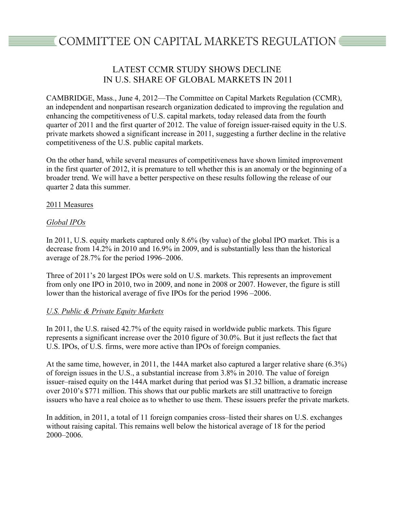# COMMITTEE ON CAPITAL MARKETS REGULATION <del></del>

# LATEST CCMR STUDY SHOWS DECLINE IN U.S. SHARE OF GLOBAL MARKETS IN 2011

CAMBRIDGE, Mass., June 4, 2012—The Committee on Capital Markets Regulation (CCMR), an independent and nonpartisan research organization dedicated to improving the regulation and enhancing the competitiveness of U.S. capital markets, today released data from the fourth quarter of 2011 and the first quarter of 2012. The value of foreign issuer-raised equity in the U.S. private markets showed a significant increase in 2011, suggesting a further decline in the relative competitiveness of the U.S. public capital markets.

On the other hand, while several measures of competitiveness have shown limited improvement in the first quarter of 2012, it is premature to tell whether this is an anomaly or the beginning of a broader trend. We will have a better perspective on these results following the release of our quarter 2 data this summer.

# 2011 Measures

# *Global IPOs*

In 2011, U.S. equity markets captured only 8.6% (by value) of the global IPO market. This is a decrease from 14.2% in 2010 and 16.9% in 2009, and is substantially less than the historical average of 28.7% for the period 1996–2006.

Three of 2011's 20 largest IPOs were sold on U.S. markets. This represents an improvement from only one IPO in 2010, two in 2009, and none in 2008 or 2007. However, the figure is still lower than the historical average of five IPOs for the period 1996 –2006.

# *U.S. Public & Private Equity Markets*

In 2011, the U.S. raised 42.7% of the equity raised in worldwide public markets. This figure represents a significant increase over the 2010 figure of 30.0%. But it just reflects the fact that U.S. IPOs, of U.S. firms, were more active than IPOs of foreign companies.

At the same time, however, in 2011, the 144A market also captured a larger relative share (6.3%) of foreign issues in the U.S., a substantial increase from 3.8% in 2010. The value of foreign issuer–raised equity on the 144A market during that period was \$1.32 billion, a dramatic increase over 2010's \$771 million. This shows that our public markets are still unattractive to foreign issuers who have a real choice as to whether to use them. These issuers prefer the private markets.

In addition, in 2011, a total of 11 foreign companies cross–listed their shares on U.S. exchanges without raising capital. This remains well below the historical average of 18 for the period 2000–2006.